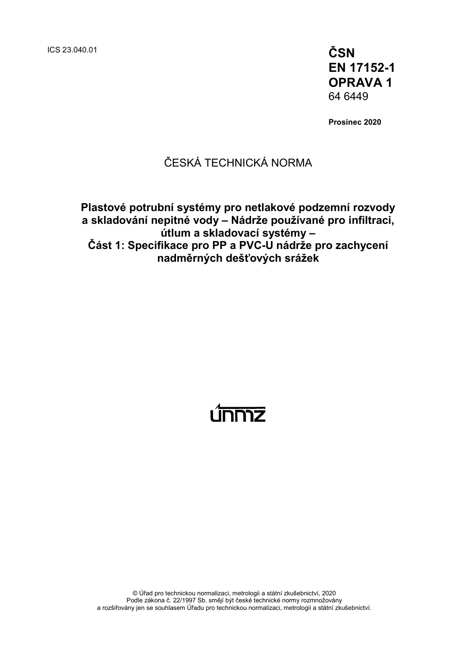ICS 23.040.01 **ČSN**

**EN 17152-1 OPRAVA 1** 64 6449

**Prosinec 2020**

## ČESKÁ TECHNICKÁ NORMA

## **Plastové potrubní systémy pro netlakové podzemní rozvody a skladování nepitné vody – Nádrže používané pro infiltraci, útlum a skladovací systémy – Část 1: Specifikace pro PP a PVC-U nádrže pro zachycení nadměrných dešťových srážek**

# <u>únnnz</u>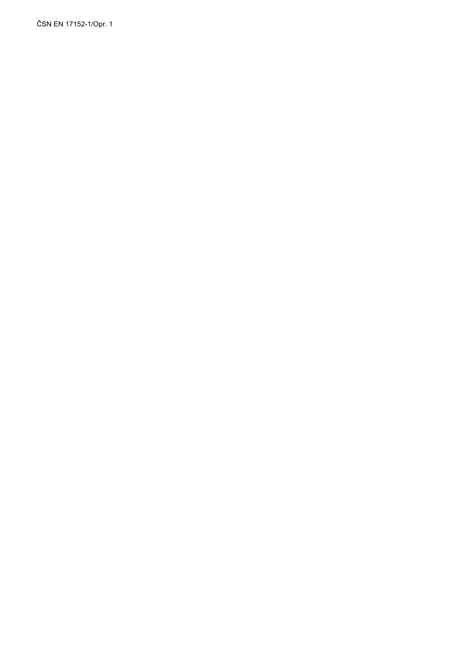ČSN EN 17152-1/Opr. 1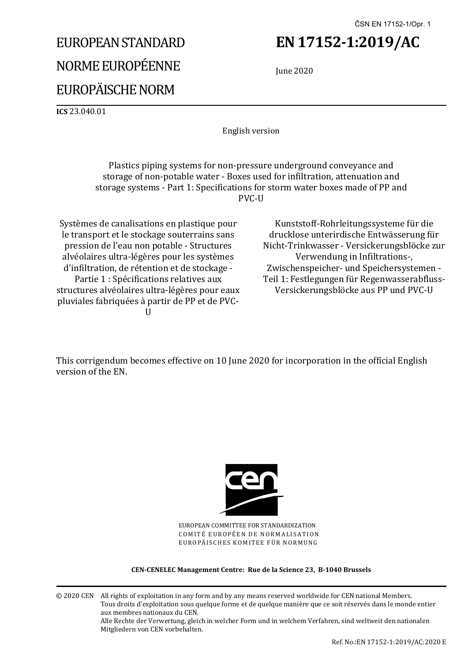## EUROPEAN STANDARD NORME EUROPÉENNE EUROPÄISCHE NORM

## **EN 17152-1:2019/AC**

June 2020

**ICS** 23.040.01

English version

Plastics piping systems for non-pressure underground conveyance and storage of non-potable water - Boxes used for infiltration, attenuation and storage systems - Part 1: Specifications for storm water boxes made of PP and PVC-U

Systèmes de canalisations en plastique pour le transport et le stockage souterrains sans pression de l'eau non potable - Structures alvéolaires ultra-légères pour les systèmes d'infiltration, de rétention et de stockage - Partie 1 : Spécifications relatives aux

structures alvéolaires ultra-légères pour eaux pluviales fabriquées à partir de PP et de PVC- $\mathbf{I}$ 

Kunststoff-Rohrleitungssysteme für die drucklose unterirdische Entwässerung für Nicht-Trinkwasser - Versickerungsblöcke zur Verwendung in Infiltrations-, Zwischenspeicher- und Speichersystemen - Teil 1: Festlegungen für Regenwasserabfluss-Versickerungsblöcke aus PP und PVC-U

This corrigendum becomes effective on 10 June 2020 for incorporation in the official English version of the EN.



EUROPEAN COMMITTEE FOR STANDARDIZATION COMITÉ EUROPÉEN DE NORMALISATION EUROPÄISCHES KOMITEE FÜR NORMUNG

#### **CEN-CENELEC Management Centre: Rue de la Science 23, B-1040 Brussels**

© 2020 CEN All rights of exploitation in any form and by any means reserved worldwide for CEN national Members. Tous droits d'exploitation sous quelque forme et de quelque manière que ce soit réservés dans le monde entier aux membres nationaux du CEN. Alle Rechte der Verwertung, gleich in welcher Form und in welchem Verfahren, sind weltweit den nationalen Mitgliedern von CEN vorbehalten.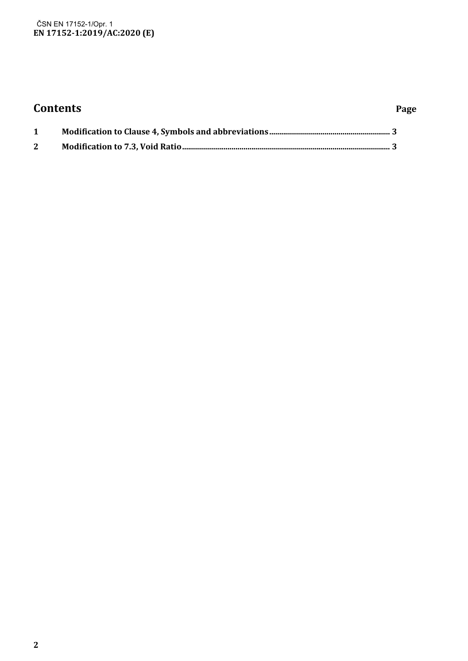#### **EN 17152-1:2019/AC:2020 (E)** ČSN EN 17152-1/Opr. 1

| <b>Contents</b> |  | Page |
|-----------------|--|------|
| $\mathbf 1$     |  |      |
| $2^{\circ}$     |  |      |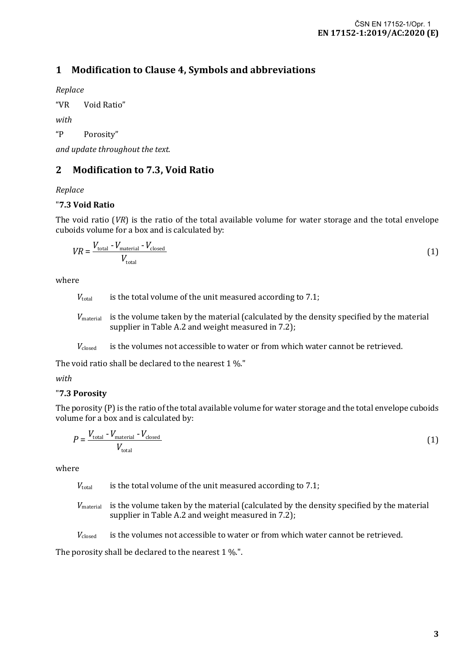## **1 Modification to Clause 4, Symbols and abbreviations**

*Replace*

```
"VR Void Ratio"
with
"P Porosity"
```
*and update throughout the text.*

## **2 Modification to 7.3, Void Ratio**

#### *Replace*

### "**7.3 Void Ratio**

The void ratio (*VR*) is the ratio of the total available volume for water storage and the total envelope cuboids volume for a box and is calculated by:

$$
VR = \frac{V_{\text{total}} - V_{\text{material}} - V_{\text{closed}}}{V_{\text{total}}}
$$
 (1)

where

 $V_{total}$  is the total volume of the unit measured according to 7.1;

*V*<sub>material</sub> is the volume taken by the material (calculated by the density specified by the material supplier in Table A.2 and weight measured in 7.2);

*V*<sub>closed</sub> is the volumes not accessible to water or from which water cannot be retrieved.

The void ratio shall be declared to the nearest 1 %."

### *with*

### "**7.3 Porosity**

The porosity (P) is the ratio of the total available volume for water storage and the total envelope cuboids volume for a box and is calculated by:

$$
P = \frac{V_{\text{total}} - V_{\text{material}} - V_{\text{closed}}}{V_{\text{total}}}
$$
(1)

where

 $V_{total}$  is the total volume of the unit measured according to 7.1;

*V*<sub>material is the volume taken by the material (calculated by the density specified by the material</sub> supplier in Table A.2 and weight measured in 7.2);

*V*<sub>closed</sub> is the volumes not accessible to water or from which water cannot be retrieved.

The porosity shall be declared to the nearest 1 %.".